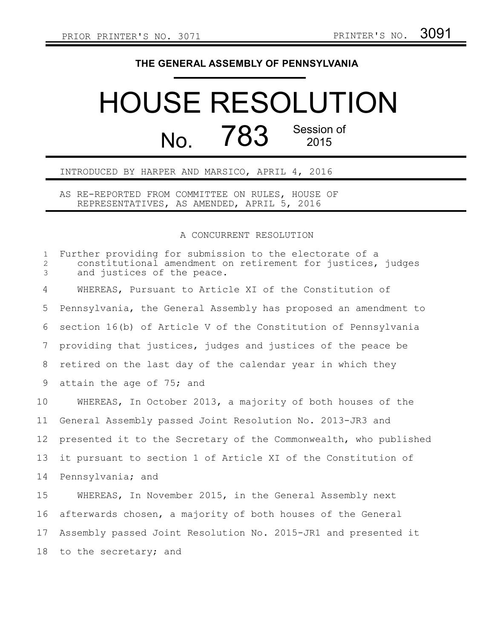## **THE GENERAL ASSEMBLY OF PENNSYLVANIA**

## HOUSE RESOLUTION  $N<sub>0</sub>$   $783$  Session of 2015

INTRODUCED BY HARPER AND MARSICO, APRIL 4, 2016

AS RE-REPORTED FROM COMMITTEE ON RULES, HOUSE OF REPRESENTATIVES, AS AMENDED, APRIL 5, 2016

## A CONCURRENT RESOLUTION

Further providing for submission to the electorate of a constitutional amendment on retirement for justices, judges and justices of the peace. WHEREAS, Pursuant to Article XI of the Constitution of Pennsylvania, the General Assembly has proposed an amendment to section 16(b) of Article V of the Constitution of Pennsylvania providing that justices, judges and justices of the peace be retired on the last day of the calendar year in which they attain the age of 75; and WHEREAS, In October 2013, a majority of both houses of the General Assembly passed Joint Resolution No. 2013-JR3 and presented it to the Secretary of the Commonwealth, who published it pursuant to section 1 of Article XI of the Constitution of Pennsylvania; and WHEREAS, In November 2015, in the General Assembly next afterwards chosen, a majority of both houses of the General Assembly passed Joint Resolution No. 2015-JR1 and presented it to the secretary; and 1 2 3 4 5 6 7 8 9 10 11 12 13 14 15 16 17 18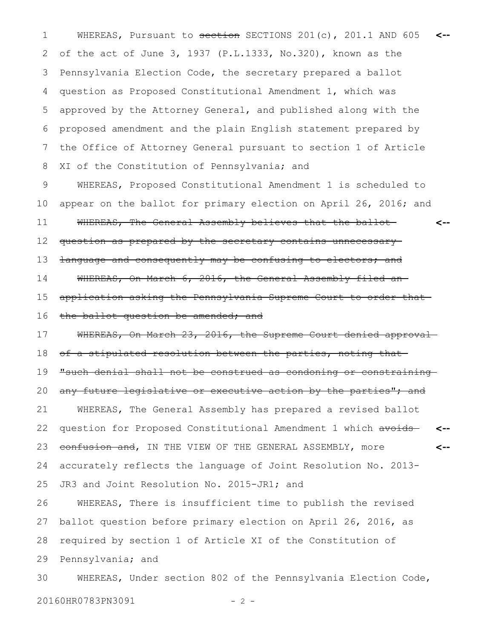WHEREAS, Pursuant to section SECTIONS 201(c), 201.1 AND 605 1 **<-** of the act of June 3, 1937 (P.L.1333, No.320), known as the Pennsylvania Election Code, the secretary prepared a ballot question as Proposed Constitutional Amendment 1, which was approved by the Attorney General, and published along with the proposed amendment and the plain English statement prepared by the Office of Attorney General pursuant to section 1 of Article XI of the Constitution of Pennsylvania; and 2 3 4 5 6 7 8

WHEREAS, Proposed Constitutional Amendment 1 is scheduled to appear on the ballot for primary election on April 26, 2016; and WHEREAS, The General Assembly believes that the ballot question as prepared by the secretary contains unnecessary language and consequently may be confusing to electors; and WHEREAS, On March 6, 2016, the General Assembly filed anapplication asking the Pennsylvania Supreme Court to order that the ballot question be amended; and **<--** 9 10 11 12 13 14 15 16

WHEREAS, On March 23, 2016, the Supreme Court denied approvalof a stipulated resolution between the parties, noting that "such denial shall not be construed as condoning or constraining any future legislative or executive action by the parties"; and 17 18 19 20

WHEREAS, The General Assembly has prepared a revised ballot question for Proposed Constitutional Amendment 1 which avoids confusion and, IN THE VIEW OF THE GENERAL ASSEMBLY, more accurately reflects the language of Joint Resolution No. 2013- **<-- <--** 21 22 23 24

JR3 and Joint Resolution No. 2015-JR1; and 25

WHEREAS, There is insufficient time to publish the revised ballot question before primary election on April 26, 2016, as required by section 1 of Article XI of the Constitution of Pennsylvania; and 26 27 28 29

WHEREAS, Under section 802 of the Pennsylvania Election Code, 20160HR0783PN3091 - 2 -30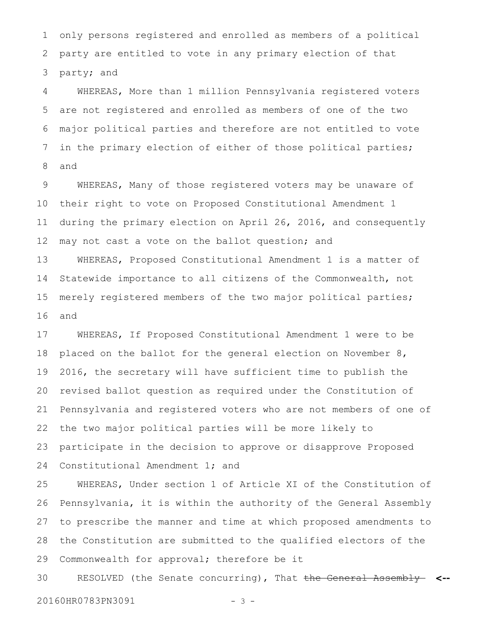only persons registered and enrolled as members of a political party are entitled to vote in any primary election of that party; and 1 2 3

WHEREAS, More than 1 million Pennsylvania registered voters are not registered and enrolled as members of one of the two major political parties and therefore are not entitled to vote in the primary election of either of those political parties; and 4 5 6 7 8

WHEREAS, Many of those registered voters may be unaware of their right to vote on Proposed Constitutional Amendment 1 during the primary election on April 26, 2016, and consequently may not cast a vote on the ballot question; and 9 10 11 12

WHEREAS, Proposed Constitutional Amendment 1 is a matter of Statewide importance to all citizens of the Commonwealth, not merely registered members of the two major political parties; and 13 14 15 16

WHEREAS, If Proposed Constitutional Amendment 1 were to be placed on the ballot for the general election on November 8, 2016, the secretary will have sufficient time to publish the revised ballot question as required under the Constitution of Pennsylvania and registered voters who are not members of one of the two major political parties will be more likely to participate in the decision to approve or disapprove Proposed Constitutional Amendment 1; and 17 18 19 20 21 22 23 24

WHEREAS, Under section 1 of Article XI of the Constitution of Pennsylvania, it is within the authority of the General Assembly to prescribe the manner and time at which proposed amendments to the Constitution are submitted to the qualified electors of the Commonwealth for approval; therefore be it 25 26 27 28 29

RESOLVED (the Senate concurring), That the General Assembly **<--** 20160HR0783PN3091 - 3 -30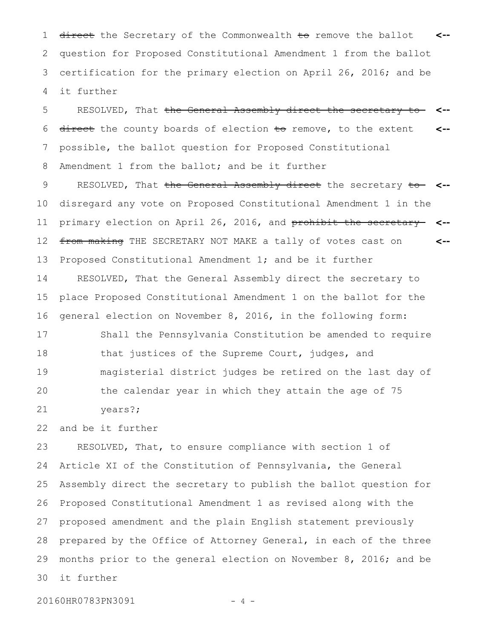1 <del>direct</del> the Secretary of the Commonwealth <del>to</del> remove the ballot <-question for Proposed Constitutional Amendment 1 from the ballot certification for the primary election on April 26, 2016; and be it further 2 3 4

RESOLVED, That <del>the General Assembly direct the secretary to</del> direct the county boards of election to remove, to the extent possible, the ballot question for Proposed Constitutional Amendment 1 from the ballot; and be it further **<-- <--** 5 6 7 8

RESOLVED, That the General Assembly direct the secretary to **<-** disregard any vote on Proposed Constitutional Amendment 1 in the primary election on April 26, 2016, and prohibit the secretary **<-** from making THE SECRETARY NOT MAKE a tally of votes cast on Proposed Constitutional Amendment 1; and be it further **<--** 9 10 11 12 13

RESOLVED, That the General Assembly direct the secretary to place Proposed Constitutional Amendment 1 on the ballot for the general election on November 8, 2016, in the following form: 14 15 16

Shall the Pennsylvania Constitution be amended to require that justices of the Supreme Court, judges, and magisterial district judges be retired on the last day of the calendar year in which they attain the age of 75 years?; 17 18 19 20 21

and be it further 22

RESOLVED, That, to ensure compliance with section 1 of Article XI of the Constitution of Pennsylvania, the General Assembly direct the secretary to publish the ballot question for Proposed Constitutional Amendment 1 as revised along with the proposed amendment and the plain English statement previously prepared by the Office of Attorney General, in each of the three months prior to the general election on November 8, 2016; and be it further 23 24 25 26 27 28 29 30

20160HR0783PN3091 - 4 -